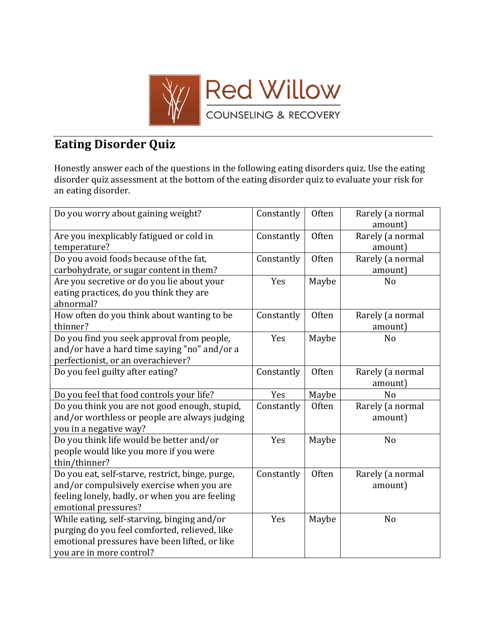

## **Eating Disorder Quiz**

Honestly answer each of the questions in the following eating disorders quiz. Use the eating disorder quiz assessment at the bottom of the eating disorder quiz to evaluate your risk for an eating disorder.

| Do you worry about gaining weight?                                                                                                                                        | Constantly | Often | Rarely (a normal<br>amount) |
|---------------------------------------------------------------------------------------------------------------------------------------------------------------------------|------------|-------|-----------------------------|
| Are you inexplicably fatigued or cold in<br>temperature?                                                                                                                  | Constantly | Often | Rarely (a normal<br>amount) |
| Do you avoid foods because of the fat,<br>carbohydrate, or sugar content in them?                                                                                         | Constantly | Often | Rarely (a normal<br>amount) |
| Are you secretive or do you lie about your<br>eating practices, do you think they are<br>abnormal?                                                                        | Yes        | Maybe | N <sub>o</sub>              |
| How often do you think about wanting to be<br>thinner?                                                                                                                    | Constantly | Often | Rarely (a normal<br>amount) |
| Do you find you seek approval from people,<br>and/or have a hard time saying "no" and/or a<br>perfectionist, or an overachiever?                                          | Yes        | Maybe | N <sub>o</sub>              |
| Do you feel guilty after eating?                                                                                                                                          | Constantly | Often | Rarely (a normal<br>amount) |
| Do you feel that food controls your life?                                                                                                                                 | Yes        | Maybe | N <sub>o</sub>              |
| Do you think you are not good enough, stupid,<br>and/or worthless or people are always judging<br>you in a negative way?                                                  | Constantly | Often | Rarely (a normal<br>amount) |
| Do you think life would be better and/or<br>people would like you more if you were<br>thin/thinner?                                                                       | Yes        | Maybe | N <sub>o</sub>              |
| Do you eat, self-starve, restrict, binge, purge,<br>and/or compulsively exercise when you are<br>feeling lonely, badly, or when you are feeling<br>emotional pressures?   | Constantly | Often | Rarely (a normal<br>amount) |
| While eating, self-starving, binging and/or<br>purging do you feel comforted, relieved, like<br>emotional pressures have been lifted, or like<br>you are in more control? | Yes        | Maybe | N <sub>o</sub>              |